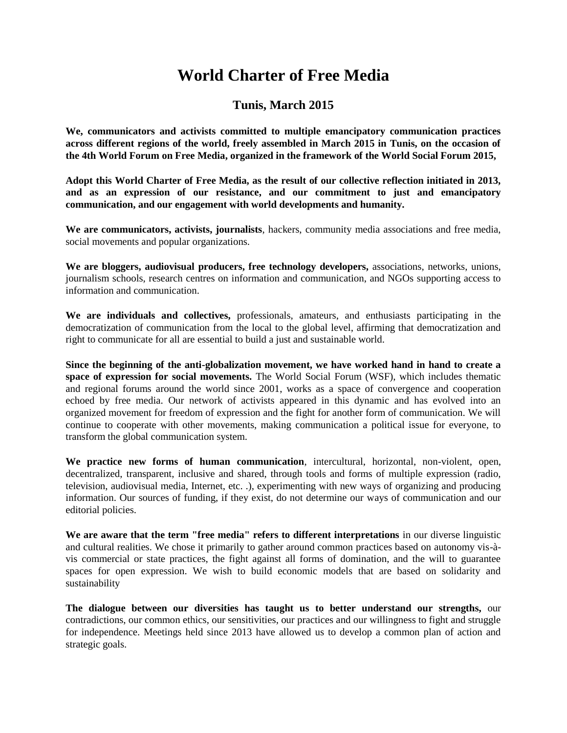# **World Charter of Free Media**

# **Tunis, March 2015**

**We, communicators and activists committed to multiple emancipatory communication practices across different regions of the world, freely assembled in March 2015 in Tunis, on the occasion of the [4th World Forum on Free Media,](http://fmml.net/) organized in the framework of the World Social Forum 2015,**

**Adopt this World Charter of Free Media, as the result of our collective reflection initiated in 2013, and as an expression of our resistance, and our commitment to just and emancipatory communication, and our engagement with world developments and humanity.**

**We are communicators, activists, journalists**, hackers, community media associations and free media, social movements and popular organizations.

**We are bloggers, audiovisual producers, free technology developers,** associations, networks, unions, journalism schools, research centres on information and communication, and NGOs supporting access to information and communication.

**We are individuals and collectives,** professionals, amateurs, and enthusiasts participating in the democratization of communication from the local to the global level, affirming that democratization and right to communicate for all are essential to build a just and sustainable world.

**Since the beginning of the anti-globalization movement, we have worked hand in hand to create a space of expression for social movements.** The World Social Forum (WSF), which includes thematic and regional forums around the world since 2001, works as a space of convergence and cooperation echoed by free media. Our network of activists appeared in this dynamic and has evolved into an organized movement for freedom of expression and the fight for another form of communication. We will continue to cooperate with other movements, making communication a political issue for everyone, to transform the global communication system.

**We practice new forms of human communication**, intercultural, horizontal, non-violent, open, decentralized, transparent, inclusive and shared, through tools and forms of multiple expression (radio, television, audiovisual media, Internet, etc. .), experimenting with new ways of organizing and producing information. Our sources of funding, if they exist, do not determine our ways of communication and our editorial policies.

**We are aware that the term "free media" refers to different interpretations** in our diverse linguistic and cultural realities. We chose it primarily to gather around common practices based on autonomy vis-àvis commercial or state practices, the fight against all forms of domination, and the will to guarantee spaces for open expression. We wish to build economic models that are based on solidarity and sustainability

**The dialogue between our diversities has taught us to better understand our strengths,** our contradictions, our common ethics, our sensitivities, our practices and our willingness to fight and struggle for independence. Meetings held since 2013 have allowed us to develop a common plan of action and strategic goals.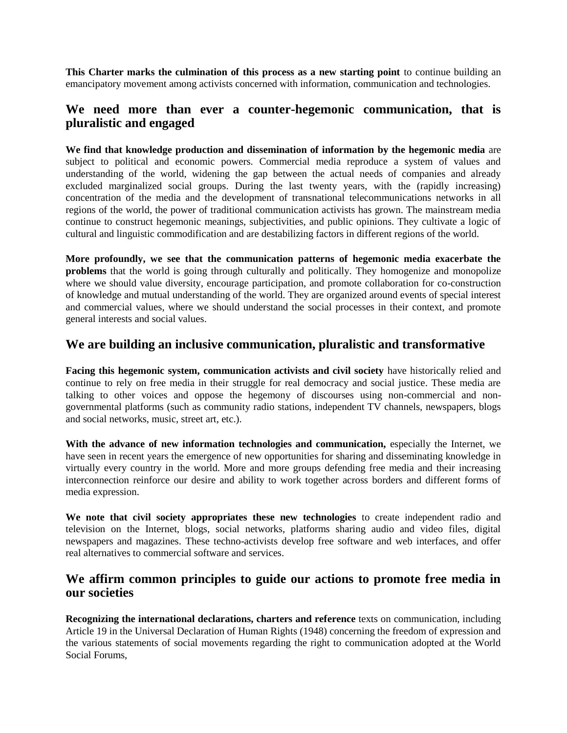**This Charter marks the culmination of this process as a new starting point** to continue building an emancipatory movement among activists concerned with information, communication and technologies.

# **We need more than ever a counter-hegemonic communication, that is pluralistic and engaged**

**We find that knowledge production and dissemination of information by the hegemonic media** are subject to political and economic powers. Commercial media reproduce a system of values and understanding of the world, widening the gap between the actual needs of companies and already excluded marginalized social groups. During the last twenty years, with the (rapidly increasing) concentration of the media and the development of transnational telecommunications networks in all regions of the world, the power of traditional communication activists has grown. The mainstream media continue to construct hegemonic meanings, subjectivities, and public opinions. They cultivate a logic of cultural and linguistic commodification and are destabilizing factors in different regions of the world.

**More profoundly, we see that the communication patterns of hegemonic media exacerbate the problems** that the world is going through culturally and politically. They homogenize and monopolize where we should value diversity, encourage participation, and promote collaboration for co-construction of knowledge and mutual understanding of the world. They are organized around events of special interest and commercial values, where we should understand the social processes in their context, and promote general interests and social values.

#### **We are building an inclusive communication, pluralistic and transformative**

**Facing this hegemonic system, communication activists and civil society** have historically relied and continue to rely on free media in their struggle for real democracy and social justice. These media are talking to other voices and oppose the hegemony of discourses using non-commercial and nongovernmental platforms (such as community radio stations, independent TV channels, newspapers, blogs and social networks, music, street art, etc.).

**With the advance of new information technologies and communication,** especially the Internet, we have seen in recent years the emergence of new opportunities for sharing and disseminating knowledge in virtually every country in the world. More and more groups defending free media and their increasing interconnection reinforce our desire and ability to work together across borders and different forms of media expression.

**We note that civil society appropriates these new technologies** to create independent radio and television on the Internet, blogs, social networks, platforms sharing audio and video files, digital newspapers and magazines. These techno-activists develop free software and web interfaces, and offer real alternatives to commercial software and services.

#### **We affirm common principles to guide our actions to promote free media in our societies**

**Recognizing the international declarations, charters and reference** texts on communication, including Article 19 in the Universal Declaration of Human Rights (1948) concerning the freedom of expression and the various statements of social movements regarding the right to communication adopted at the World Social Forums,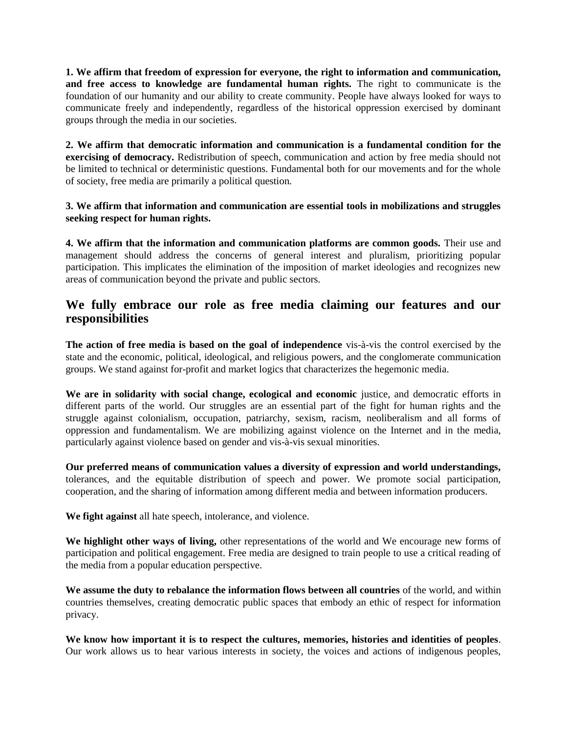**1. We affirm that freedom of expression for everyone, the right to information and communication, and free access to knowledge are fundamental human rights.** The right to communicate is the foundation of our humanity and our ability to create community. People have always looked for ways to communicate freely and independently, regardless of the historical oppression exercised by dominant groups through the media in our societies.

**2. We affirm that democratic information and communication is a fundamental condition for the exercising of democracy.** Redistribution of speech, communication and action by free media should not be limited to technical or deterministic questions. Fundamental both for our movements and for the whole of society, free media are primarily a political question.

#### **3. We affirm that information and communication are essential tools in mobilizations and struggles seeking respect for human rights.**

**4. We affirm that the information and communication platforms are common goods.** Their use and management should address the concerns of general interest and pluralism, prioritizing popular participation. This implicates the elimination of the imposition of market ideologies and recognizes new areas of communication beyond the private and public sectors.

# **We fully embrace our role as free media claiming our features and our responsibilities**

**The action of free media is based on the goal of independence** vis-à-vis the control exercised by the state and the economic, political, ideological, and religious powers, and the conglomerate communication groups. We stand against for-profit and market logics that characterizes the hegemonic media.

**We are in solidarity with social change, ecological and economic** justice, and democratic efforts in different parts of the world. Our struggles are an essential part of the fight for human rights and the struggle against colonialism, occupation, patriarchy, sexism, racism, neoliberalism and all forms of oppression and fundamentalism. We are mobilizing against violence on the Internet and in the media, particularly against violence based on gender and vis-à-vis sexual minorities.

**Our preferred means of communication values a diversity of expression and world understandings,** tolerances, and the equitable distribution of speech and power. We promote social participation, cooperation, and the sharing of information among different media and between information producers.

**We fight against** all hate speech, intolerance, and violence.

**We highlight other ways of living,** other representations of the world and We encourage new forms of participation and political engagement. Free media are designed to train people to use a critical reading of the media from a popular education perspective.

**We assume the duty to rebalance the information flows between all countries** of the world, and within countries themselves, creating democratic public spaces that embody an ethic of respect for information privacy.

**We know how important it is to respect the cultures, memories, histories and identities of peoples**. Our work allows us to hear various interests in society, the voices and actions of indigenous peoples,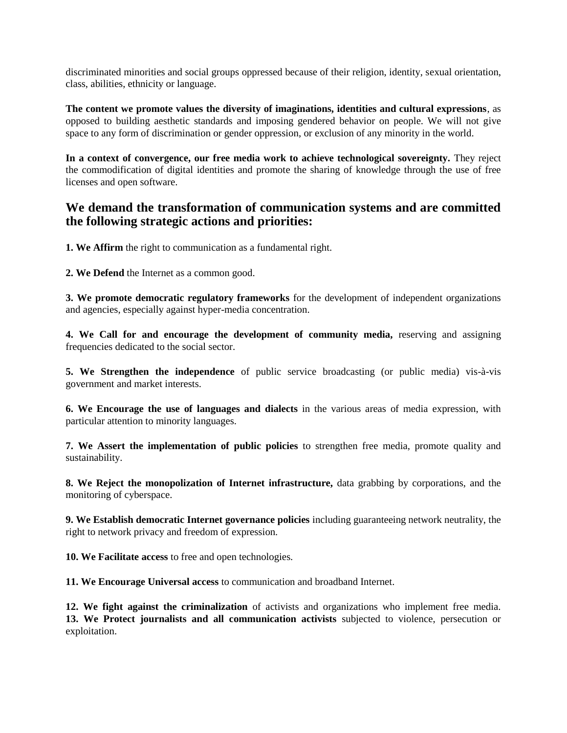discriminated minorities and social groups oppressed because of their religion, identity, sexual orientation, class, abilities, ethnicity or language.

**The content we promote values the diversity of imaginations, identities and cultural expressions**, as opposed to building aesthetic standards and imposing gendered behavior on people. We will not give space to any form of discrimination or gender oppression, or exclusion of any minority in the world.

**In a context of convergence, our free media work to achieve technological sovereignty.** They reject the commodification of digital identities and promote the sharing of knowledge through the use of free licenses and open software.

### **We demand the transformation of communication systems and are committed the following strategic actions and priorities:**

**1. We Affirm** the right to communication as a fundamental right.

**2. We Defend** the Internet as a common good.

**3. We promote democratic regulatory frameworks** for the development of independent organizations and agencies, especially against hyper-media concentration.

**4. We Call for and encourage the development of community media,** reserving and assigning frequencies dedicated to the social sector.

**5. We Strengthen the independence** of public service broadcasting (or public media) vis-à-vis government and market interests.

**6. We Encourage the use of languages and dialects** in the various areas of media expression, with particular attention to minority languages.

**7. We Assert the implementation of public policies** to strengthen free media, promote quality and sustainability.

**8. We Reject the monopolization of Internet infrastructure,** data grabbing by corporations, and the monitoring of cyberspace.

**9. We Establish democratic Internet governance policies** including guaranteeing network neutrality, the right to network privacy and freedom of expression.

**10. We Facilitate access** to free and open technologies.

**11. We Encourage Universal access** to communication and broadband Internet.

**12. We fight against the criminalization** of activists and organizations who implement free media. **13. We Protect journalists and all communication activists** subjected to violence, persecution or exploitation.